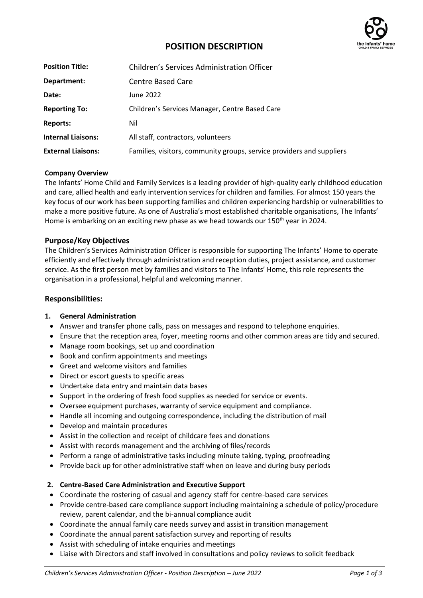

# **POSITION DESCRIPTION**

| <b>Position Title:</b>    | Children's Services Administration Officer                            |
|---------------------------|-----------------------------------------------------------------------|
| Department:               | Centre Based Care                                                     |
| Date:                     | June 2022                                                             |
| <b>Reporting To:</b>      | Children's Services Manager, Centre Based Care                        |
| Reports:                  | Nil                                                                   |
| <b>Internal Liaisons:</b> | All staff, contractors, volunteers                                    |
| <b>External Liaisons:</b> | Families, visitors, community groups, service providers and suppliers |

#### **Company Overview**

The Infants' Home Child and Family Services is a leading provider of high-quality early childhood education and care, allied health and early intervention services for children and families. For almost 150 years the key focus of our work has been supporting families and children experiencing hardship or vulnerabilities to make a more positive future. As one of Australia's most established charitable organisations, The Infants' Home is embarking on an exciting new phase as we head towards our 150<sup>th</sup> year in 2024.

#### **Purpose/Key Objectives**

The Children's Services Administration Officer is responsible for supporting The Infants' Home to operate efficiently and effectively through administration and reception duties, project assistance, and customer service. As the first person met by families and visitors to The Infants' Home, this role represents the organisation in a professional, helpful and welcoming manner.

#### **Responsibilities:**

#### **1. General Administration**

- Answer and transfer phone calls, pass on messages and respond to telephone enquiries.
- Ensure that the reception area, foyer, meeting rooms and other common areas are tidy and secured.
- Manage room bookings, set up and coordination
- Book and confirm appointments and meetings
- Greet and welcome visitors and families
- Direct or escort guests to specific areas
- Undertake data entry and maintain data bases
- Support in the ordering of fresh food supplies as needed for service or events.
- Oversee equipment purchases, warranty of service equipment and compliance.
- Handle all incoming and outgoing correspondence, including the distribution of mail
- Develop and maintain procedures
- Assist in the collection and receipt of childcare fees and donations
- Assist with records management and the archiving of files/records
- Perform a range of administrative tasks including minute taking, typing, proofreading
- Provide back up for other administrative staff when on leave and during busy periods

# **2. Centre-Based Care Administration and Executive Support**

- Coordinate the rostering of casual and agency staff for centre-based care services
- Provide centre-based care compliance support including maintaining a schedule of policy/procedure review, parent calendar, and the bi-annual compliance audit
- Coordinate the annual family care needs survey and assist in transition management
- Coordinate the annual parent satisfaction survey and reporting of results
- Assist with scheduling of intake enquiries and meetings
- Liaise with Directors and staff involved in consultations and policy reviews to solicit feedback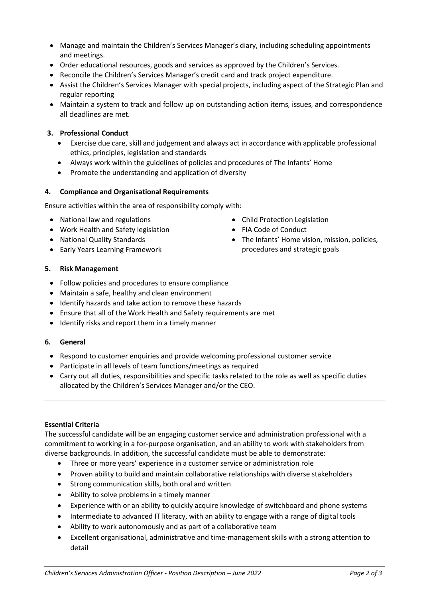- Manage and maintain the Children's Services Manager's diary, including scheduling appointments and meetings.
- Order educational resources, goods and services as approved by the Children's Services.
- Reconcile the Children's Services Manager's credit card and track project expenditure.
- Assist the Children's Services Manager with special projects, including aspect of the Strategic Plan and regular reporting
- Maintain a system to track and follow up on outstanding action items, issues, and correspondence all deadlines are met.

# **3. Professional Conduct**

- Exercise due care, skill and judgement and always act in accordance with applicable professional ethics, principles, legislation and standards
- Always work within the guidelines of policies and procedures of The Infants' Home
- Promote the understanding and application of diversity

# **4. Compliance and Organisational Requirements**

Ensure activities within the area of responsibility comply with:

- National law and regulations
- Work Health and Safety legislation
- National Quality Standards
- Early Years Learning Framework
- Child Protection Legislation
- FIA Code of Conduct
- The Infants' Home vision, mission, policies, procedures and strategic goals

# **5. Risk Management**

- Follow policies and procedures to ensure compliance
- Maintain a safe, healthy and clean environment
- Identify hazards and take action to remove these hazards
- Ensure that all of the Work Health and Safety requirements are met
- Identify risks and report them in a timely manner

# **6. General**

- Respond to customer enquiries and provide welcoming professional customer service
- Participate in all levels of team functions/meetings as required
- Carry out all duties, responsibilities and specific tasks related to the role as well as specific duties allocated by the Children's Services Manager and/or the CEO.

# **Essential Criteria**

The successful candidate will be an engaging customer service and administration professional with a commitment to working in a for-purpose organisation, and an ability to work with stakeholders from diverse backgrounds. In addition, the successful candidate must be able to demonstrate:

- Three or more years' experience in a customer service or administration role
- Proven ability to build and maintain collaborative relationships with diverse stakeholders
- Strong communication skills, both oral and written
- Ability to solve problems in a timely manner
- Experience with or an ability to quickly acquire knowledge of switchboard and phone systems
- Intermediate to advanced IT literacy, with an ability to engage with a range of digital tools
- Ability to work autonomously and as part of a collaborative team
- Excellent organisational, administrative and time-management skills with a strong attention to detail